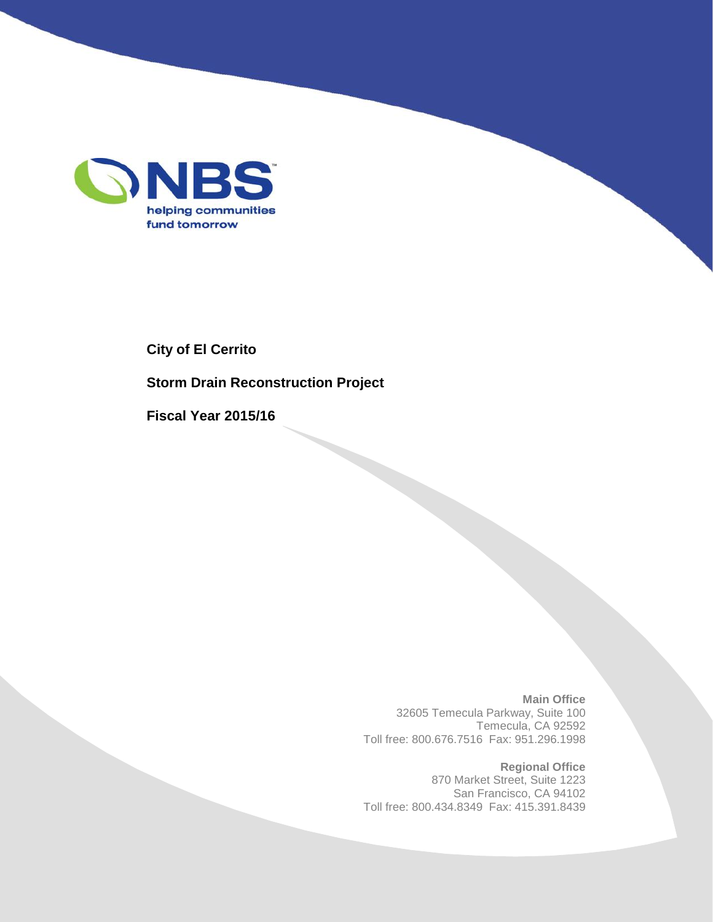

**City of El Cerrito**

**Storm Drain Reconstruction Project**

**Fiscal Year 2015/16**

**Main Office** 32605 Temecula Parkway, Suite 100 Temecula, CA 92592 Toll free: 800.676.7516 Fax: 951.296.1998

**Regional Office** 870 Market Street, Suite 1223 San Francisco, CA 94102 Toll free: 800.434.8349 Fax: 415.391.8439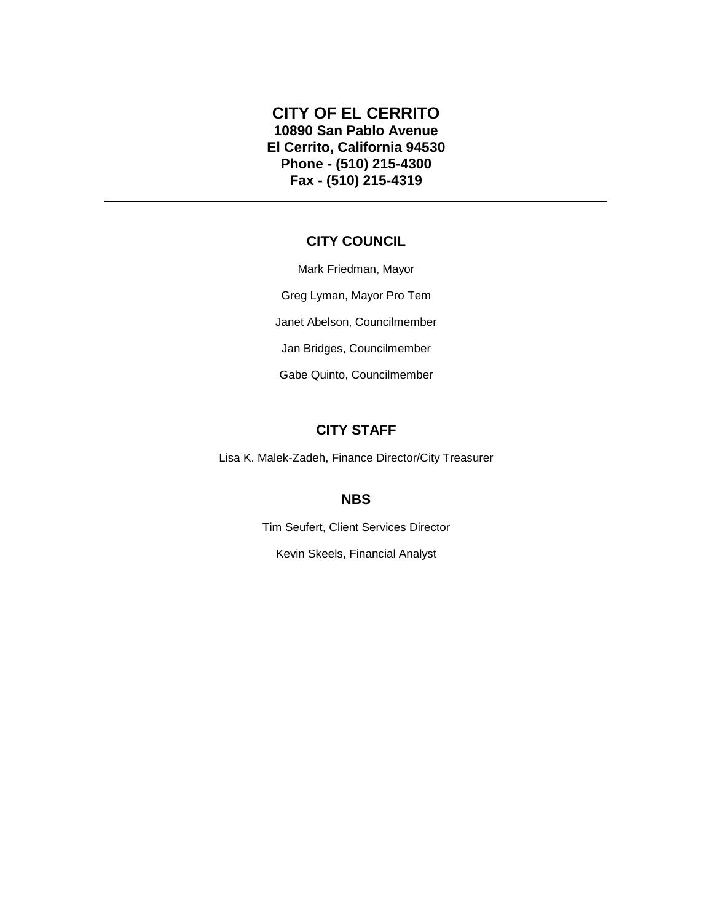#### **CITY OF EL CERRITO 10890 San Pablo Avenue El Cerrito, California 94530 Phone - (510) 215-4300 Fax - (510) 215-4319**

#### **CITY COUNCIL**

Mark Friedman, Mayor Greg Lyman, Mayor Pro Tem Janet Abelson, Councilmember Jan Bridges, Councilmember Gabe Quinto, Councilmember

#### **CITY STAFF**

Lisa K. Malek-Zadeh, Finance Director/City Treasurer

#### **NBS**

Tim Seufert, Client Services Director Kevin Skeels, Financial Analyst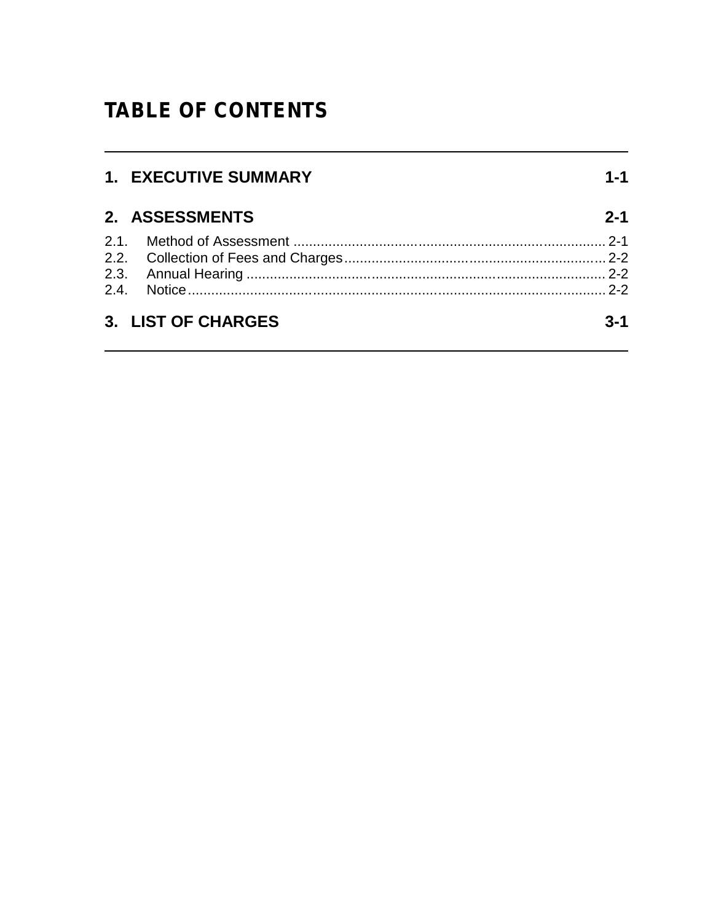## **TABLE OF CONTENTS**

| 1. EXECUTIVE SUMMARY | $1 - 1$ |
|----------------------|---------|
| 2. ASSESSMENTS       | $2 - 1$ |
|                      |         |
|                      |         |
|                      |         |
|                      |         |
| 3. LIST OF CHARGES   | $3 - 1$ |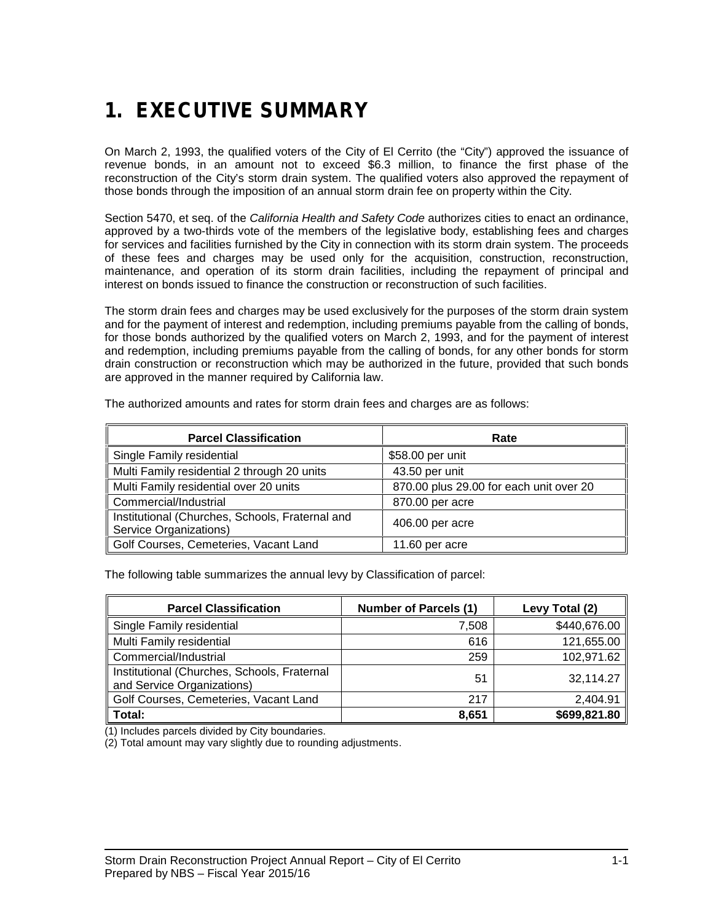# *1. EXECUTIVE SUMMARY*

On March 2, 1993, the qualified voters of the City of El Cerrito (the "City") approved the issuance of revenue bonds, in an amount not to exceed \$6.3 million, to finance the first phase of the reconstruction of the City's storm drain system. The qualified voters also approved the repayment of those bonds through the imposition of an annual storm drain fee on property within the City.

Section 5470, et seq. of the *California Health and Safety Code* authorizes cities to enact an ordinance, approved by a two-thirds vote of the members of the legislative body, establishing fees and charges for services and facilities furnished by the City in connection with its storm drain system. The proceeds of these fees and charges may be used only for the acquisition, construction, reconstruction, maintenance, and operation of its storm drain facilities, including the repayment of principal and interest on bonds issued to finance the construction or reconstruction of such facilities.

The storm drain fees and charges may be used exclusively for the purposes of the storm drain system and for the payment of interest and redemption, including premiums payable from the calling of bonds, for those bonds authorized by the qualified voters on March 2, 1993, and for the payment of interest and redemption, including premiums payable from the calling of bonds, for any other bonds for storm drain construction or reconstruction which may be authorized in the future, provided that such bonds are approved in the manner required by California law.

| <b>Parcel Classification</b>                                              | Rate                                    |
|---------------------------------------------------------------------------|-----------------------------------------|
| Single Family residential                                                 | \$58.00 per unit                        |
| Multi Family residential 2 through 20 units                               | 43.50 per unit                          |
| Multi Family residential over 20 units                                    | 870.00 plus 29.00 for each unit over 20 |
| Commercial/Industrial                                                     | 870.00 per acre                         |
| Institutional (Churches, Schools, Fraternal and<br>Service Organizations) | 406.00 per acre                         |
| Golf Courses, Cemeteries, Vacant Land                                     | 11.60 per acre                          |

The authorized amounts and rates for storm drain fees and charges are as follows:

The following table summarizes the annual levy by Classification of parcel:

| <b>Parcel Classification</b>                                              | <b>Number of Parcels (1)</b> | Levy Total (2) |
|---------------------------------------------------------------------------|------------------------------|----------------|
| Single Family residential                                                 | 7,508                        | \$440,676.00   |
| Multi Family residential                                                  | 616                          | 121,655.00     |
| Commercial/Industrial                                                     | 259                          | 102,971.62     |
| Institutional (Churches, Schools, Fraternal<br>and Service Organizations) | 51                           | 32,114.27      |
| Golf Courses, Cemeteries, Vacant Land                                     | 217                          | 2,404.91       |
| Total:                                                                    | 8,651                        | \$699,821.80   |

(1) Includes parcels divided by City boundaries.

(2) Total amount may vary slightly due to rounding adjustments.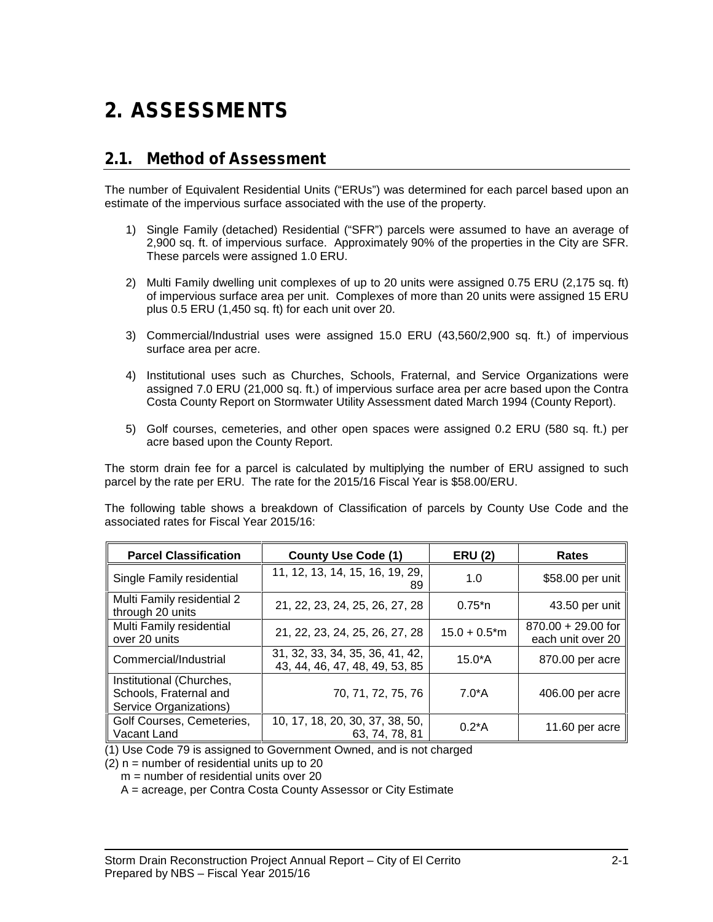# *2. ASSESSMENTS*

### *2.1. Method of Assessment*

The number of Equivalent Residential Units ("ERUs") was determined for each parcel based upon an estimate of the impervious surface associated with the use of the property.

- 1) Single Family (detached) Residential ("SFR") parcels were assumed to have an average of 2,900 sq. ft. of impervious surface. Approximately 90% of the properties in the City are SFR. These parcels were assigned 1.0 ERU.
- 2) Multi Family dwelling unit complexes of up to 20 units were assigned 0.75 ERU (2,175 sq. ft) of impervious surface area per unit. Complexes of more than 20 units were assigned 15 ERU plus 0.5 ERU (1,450 sq. ft) for each unit over 20.
- 3) Commercial/Industrial uses were assigned 15.0 ERU (43,560/2,900 sq. ft.) of impervious surface area per acre.
- 4) Institutional uses such as Churches, Schools, Fraternal, and Service Organizations were assigned 7.0 ERU (21,000 sq. ft.) of impervious surface area per acre based upon the Contra Costa County Report on Stormwater Utility Assessment dated March 1994 (County Report).
- 5) Golf courses, cemeteries, and other open spaces were assigned 0.2 ERU (580 sq. ft.) per acre based upon the County Report.

The storm drain fee for a parcel is calculated by multiplying the number of ERU assigned to such parcel by the rate per ERU. The rate for the 2015/16 Fiscal Year is \$58.00/ERU.

The following table shows a breakdown of Classification of parcels by County Use Code and the associated rates for Fiscal Year 2015/16:

| <b>Parcel Classification</b>                                                 | <b>County Use Code (1)</b>                                        | <b>ERU (2)</b>              | <b>Rates</b>                              |
|------------------------------------------------------------------------------|-------------------------------------------------------------------|-----------------------------|-------------------------------------------|
| Single Family residential                                                    | 11, 12, 13, 14, 15, 16, 19, 29,<br>89                             | 1.0                         | \$58.00 per unit                          |
| Multi Family residential 2<br>through 20 units                               | 21, 22, 23, 24, 25, 26, 27, 28                                    | $0.75^{*}n$                 | 43.50 per unit                            |
| Multi Family residential<br>over 20 units                                    | 21, 22, 23, 24, 25, 26, 27, 28                                    | $15.0 + 0.5$ <sup>*</sup> m | $870.00 + 29.00$ for<br>each unit over 20 |
| Commercial/Industrial                                                        | 31, 32, 33, 34, 35, 36, 41, 42,<br>43, 44, 46, 47, 48, 49, 53, 85 | $15.0^*$ A                  | 870.00 per acre                           |
| Institutional (Churches,<br>Schools, Fraternal and<br>Service Organizations) | 70, 71, 72, 75, 76                                                | 7.0*A                       | 406.00 per acre                           |
| Golf Courses, Cemeteries,<br>Vacant Land                                     | 10, 17, 18, 20, 30, 37, 38, 50,<br>63, 74, 78, 81                 | $0.2^*$ A                   | 11.60 per acre                            |

(1) Use Code 79 is assigned to Government Owned, and is not charged

 $(2)$  n = number of residential units up to 20

 $m =$  number of residential units over 20

A = acreage, per Contra Costa County Assessor or City Estimate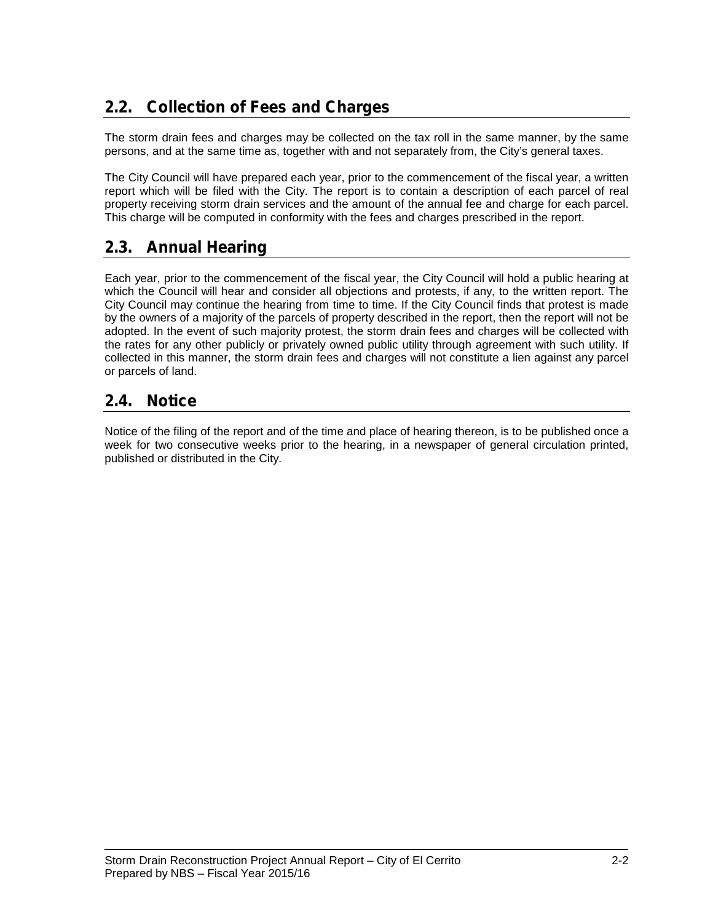## *2.2. Collection of Fees and Charges*

The storm drain fees and charges may be collected on the tax roll in the same manner, by the same persons, and at the same time as, together with and not separately from, the City's general taxes.

The City Council will have prepared each year, prior to the commencement of the fiscal year, a written report which will be filed with the City. The report is to contain a description of each parcel of real property receiving storm drain services and the amount of the annual fee and charge for each parcel. This charge will be computed in conformity with the fees and charges prescribed in the report.

### *2.3. Annual Hearing*

Each year, prior to the commencement of the fiscal year, the City Council will hold a public hearing at which the Council will hear and consider all objections and protests, if any, to the written report. The City Council may continue the hearing from time to time. If the City Council finds that protest is made by the owners of a majority of the parcels of property described in the report, then the report will not be adopted. In the event of such majority protest, the storm drain fees and charges will be collected with the rates for any other publicly or privately owned public utility through agreement with such utility. If collected in this manner, the storm drain fees and charges will not constitute a lien against any parcel or parcels of land.

### *2.4. Notice*

Notice of the filing of the report and of the time and place of hearing thereon, is to be published once a week for two consecutive weeks prior to the hearing, in a newspaper of general circulation printed, published or distributed in the City.